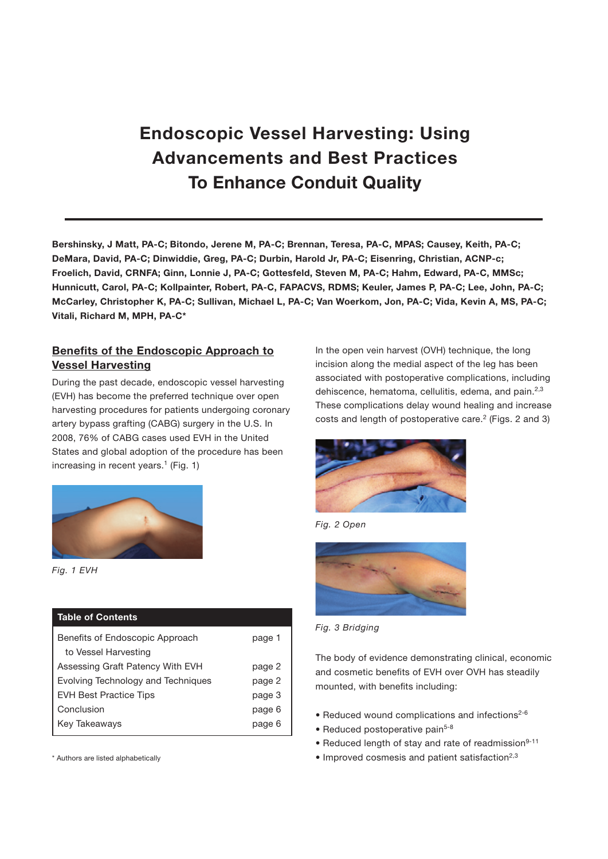# Endoscopic Vessel Harvesting: Using Advancements and Best Practices To Enhance Conduit Quality

Bershinsky, J Matt, PA-C; Bitondo, Jerene M, PA-C; Brennan, Teresa, PA-C, MPAS; Causey, Keith, PA-C; DeMara, David, PA-C; Dinwiddie, Greg, PA-C; Durbin, Harold Jr, PA-C; Eisenring, Christian, ACNP-c; Froelich, David, CRNFA; Ginn, Lonnie J, PA-C; Gottesfeld, Steven M, PA-C; Hahm, Edward, PA-C, MMSc; Hunnicutt, Carol, PA-C; Kollpainter, Robert, PA-C, FAPACVS, RDMS; Keuler, James P, PA-C; Lee, John, PA-C; McCarley, Christopher K, PA-C; Sullivan, Michael L, PA-C; Van Woerkom, Jon, PA-C; Vida, Kevin A, MS, PA-C; Vitali, Richard M, MPH, PA-C\*

# Benefits of the Endoscopic Approach to Vessel Harvesting

During the past decade, endoscopic vessel harvesting (EVH) has become the preferred technique over open harvesting procedures for patients undergoing coronary artery bypass grafting (CABG) surgery in the U.S. In 2008, 76% of CABG cases used EVH in the United States and global adoption of the procedure has been increasing in recent years.<sup>1</sup> (Fig. 1)



*Fig. 1 EVH*

# Table of Contents

| page 1 |
|--------|
|        |
| page 2 |
| page 2 |
| page 3 |
| page 6 |
| page 6 |
|        |

\* Authors are listed alphabetically

In the open vein harvest (OVH) technique, the long incision along the medial aspect of the leg has been associated with postoperative complications, including dehiscence, hematoma, cellulitis, edema, and pain.<sup>2,3</sup> These complications delay wound healing and increase costs and length of postoperative care.<sup>2</sup> (Figs. 2 and 3)







*Fig. 3 Bridging*

The body of evidence demonstrating clinical, economic and cosmetic benefits of EVH over OVH has steadily mounted, with benefits including:

- Reduced wound complications and infections<sup>2-6</sup>
- Reduced postoperative pain<sup>5-8</sup>
- Reduced length of stay and rate of readmission<sup>9-11</sup>
- $\bullet$  Improved cosmesis and patient satisfaction<sup>2,3</sup>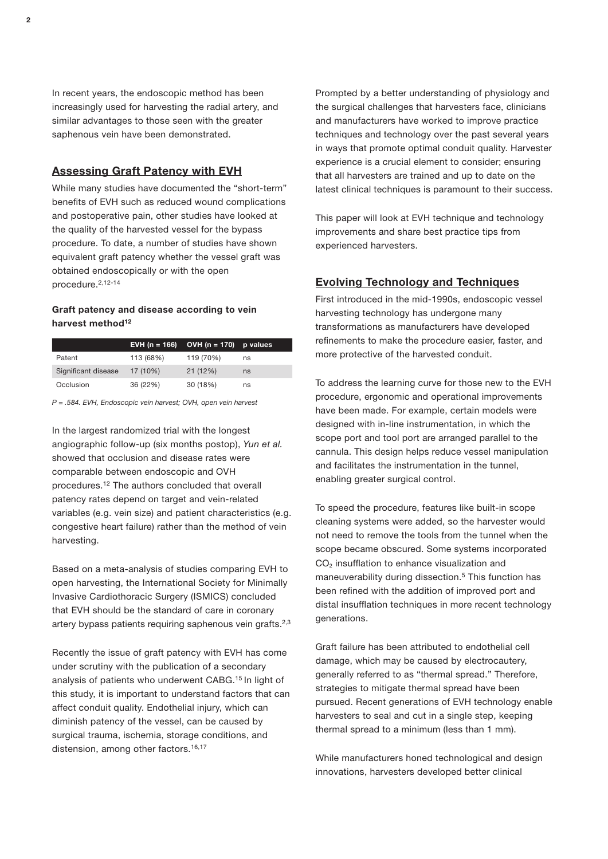In recent years, the endoscopic method has been increasingly used for harvesting the radial artery, and similar advantages to those seen with the greater saphenous vein have been demonstrated.

## Assessing Graft Patency with EVH

While many studies have documented the "short-term" benefits of EVH such as reduced wound complications and postoperative pain, other studies have looked at the quality of the harvested vessel for the bypass procedure. To date, a number of studies have shown equivalent graft patency whether the vessel graft was obtained endoscopically or with the open procedure.2,12-14

## Graft patency and disease according to vein harvest method<sup>12</sup>

|                     |           | EVH (n = 166) OVH (n = 170) p values |    |
|---------------------|-----------|--------------------------------------|----|
| Patent              | 113 (68%) | 119 (70%)                            | ns |
| Significant disease | 17 (10%)  | 21 (12%)                             | ns |
| Occlusion           | 36 (22%)  | 30 (18%)                             | ns |

*P = .584. EVH, Endoscopic vein harvest; OVH, open vein harvest*

In the largest randomized trial with the longest angiographic follow-up (six months postop), *Yun et al.* showed that occlusion and disease rates were comparable between endoscopic and OVH procedures.12 The authors concluded that overall patency rates depend on target and vein-related variables (e.g. vein size) and patient characteristics (e.g. congestive heart failure) rather than the method of vein harvesting.

Based on a meta-analysis of studies comparing EVH to open harvesting, the International Society for Minimally Invasive Cardiothoracic Surgery (ISMICS) concluded that EVH should be the standard of care in coronary artery bypass patients requiring saphenous vein grafts. $2,3$ 

Recently the issue of graft patency with EVH has come under scrutiny with the publication of a secondary analysis of patients who underwent CABG.15 In light of this study, it is important to understand factors that can affect conduit quality. Endothelial injury, which can diminish patency of the vessel, can be caused by surgical trauma, ischemia, storage conditions, and distension, among other factors.<sup>16,17</sup>

Prompted by a better understanding of physiology and the surgical challenges that harvesters face, clinicians and manufacturers have worked to improve practice techniques and technology over the past several years in ways that promote optimal conduit quality. Harvester experience is a crucial element to consider; ensuring that all harvesters are trained and up to date on the latest clinical techniques is paramount to their success.

This paper will look at EVH technique and technology improvements and share best practice tips from experienced harvesters.

## Evolving Technology and Techniques

First introduced in the mid-1990s, endoscopic vessel harvesting technology has undergone many transformations as manufacturers have developed refinements to make the procedure easier, faster, and more protective of the harvested conduit.

To address the learning curve for those new to the EVH procedure, ergonomic and operational improvements have been made. For example, certain models were designed with in-line instrumentation, in which the scope port and tool port are arranged parallel to the cannula. This design helps reduce vessel manipulation and facilitates the instrumentation in the tunnel, enabling greater surgical control.

To speed the procedure, features like built-in scope cleaning systems were added, so the harvester would not need to remove the tools from the tunnel when the scope became obscured. Some systems incorporated  $CO<sub>2</sub>$  insufflation to enhance visualization and maneuverability during dissection.5 This function has been refined with the addition of improved port and distal insufflation techniques in more recent technology generations.

Graft failure has been attributed to endothelial cell damage, which may be caused by electrocautery, generally referred to as "thermal spread." Therefore, strategies to mitigate thermal spread have been pursued. Recent generations of EVH technology enable harvesters to seal and cut in a single step, keeping thermal spread to a minimum (less than 1 mm).

While manufacturers honed technological and design innovations, harvesters developed better clinical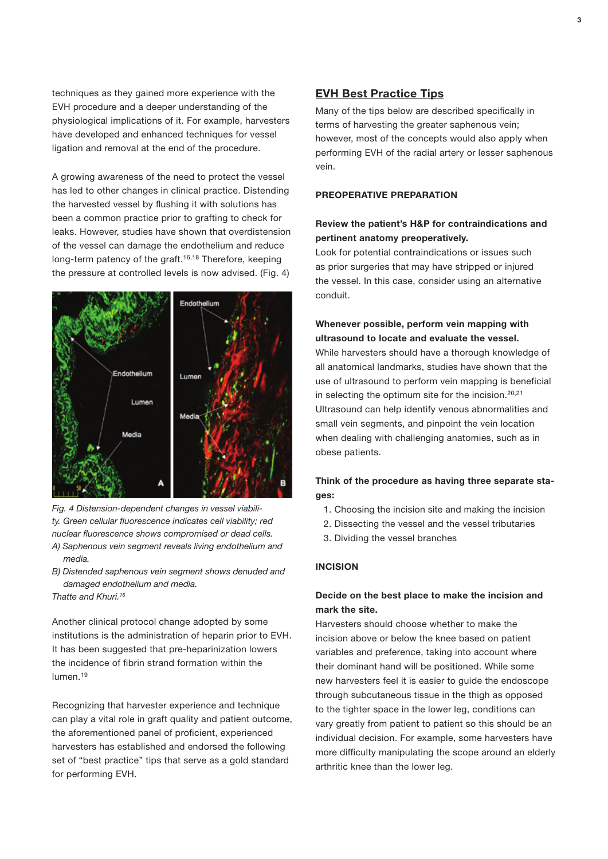techniques as they gained more experience with the EVH procedure and a deeper understanding of the physiological implications of it. For example, harvesters have developed and enhanced techniques for vessel ligation and removal at the end of the procedure.

A growing awareness of the need to protect the vessel has led to other changes in clinical practice. Distending the harvested vessel by flushing it with solutions has been a common practice prior to grafting to check for leaks. However, studies have shown that overdistension of the vessel can damage the endothelium and reduce long-term patency of the graft.<sup>16,18</sup> Therefore, keeping the pressure at controlled levels is now advised. (Fig. 4)



*Fig. 4 Distension-dependent changes in vessel viability. Green cellular fluorescence indicates cell viability; red nuclear fluorescence shows compromised or dead cells. A) Saphenous vein segment reveals living endothelium and media.*

*B) Distended saphenous vein segment shows denuded and damaged endothelium and media. Thatte and Khuri.16*

Another clinical protocol change adopted by some institutions is the administration of heparin prior to EVH. It has been suggested that pre-heparinization lowers the incidence of fibrin strand formation within the lumen.19

Recognizing that harvester experience and technique can play a vital role in graft quality and patient outcome, the aforementioned panel of proficient, experienced harvesters has established and endorsed the following set of "best practice" tips that serve as a gold standard for performing EVH.

## EVH Best Practice Tips

Many of the tips below are described specifically in terms of harvesting the greater saphenous vein; however, most of the concepts would also apply when performing EVH of the radial artery or lesser saphenous vein.

## PREOPERATIVE PREPARATION

## Review the patient's H&P for contraindications and pertinent anatomy preoperatively.

Look for potential contraindications or issues such as prior surgeries that may have stripped or injured the vessel. In this case, consider using an alternative conduit.

## Whenever possible, perform vein mapping with ultrasound to locate and evaluate the vessel.

While harvesters should have a thorough knowledge of all anatomical landmarks, studies have shown that the use of ultrasound to perform vein mapping is beneficial in selecting the optimum site for the incision.<sup>20,21</sup> Ultrasound can help identify venous abnormalities and small vein segments, and pinpoint the vein location when dealing with challenging anatomies, such as in obese patients.

## Think of the procedure as having three separate stages:

- 1. Choosing the incision site and making the incision
- 2. Dissecting the vessel and the vessel tributaries
- 3. Dividing the vessel branches

#### INCISION

# Decide on the best place to make the incision and mark the site.

Harvesters should choose whether to make the incision above or below the knee based on patient variables and preference, taking into account where their dominant hand will be positioned. While some new harvesters feel it is easier to guide the endoscope through subcutaneous tissue in the thigh as opposed to the tighter space in the lower leg, conditions can vary greatly from patient to patient so this should be an individual decision. For example, some harvesters have more difficulty manipulating the scope around an elderly arthritic knee than the lower leg.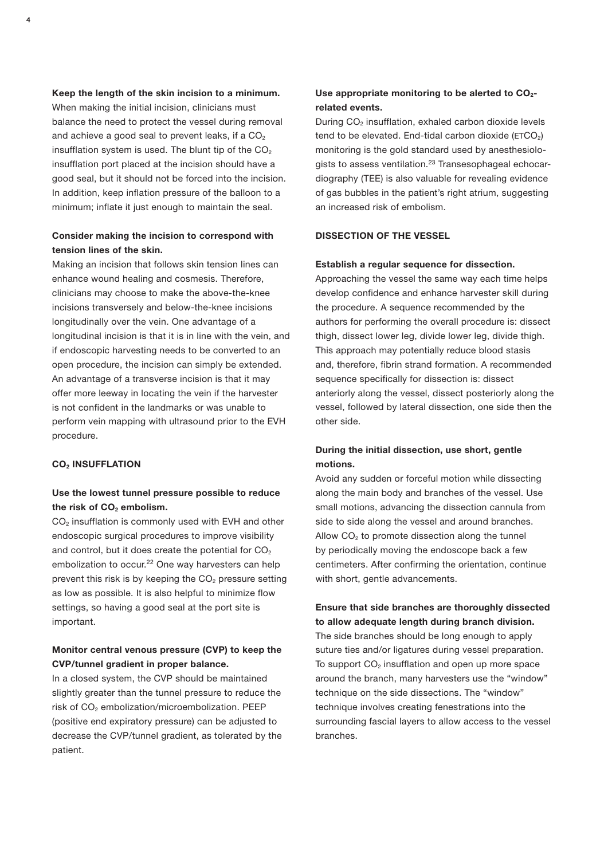Keep the length of the skin incision to a minimum. When making the initial incision, clinicians must balance the need to protect the vessel during removal and achieve a good seal to prevent leaks, if a  $CO<sub>2</sub>$ insufflation system is used. The blunt tip of the  $CO<sub>2</sub>$ insufflation port placed at the incision should have a good seal, but it should not be forced into the incision. In addition, keep inflation pressure of the balloon to a minimum; inflate it just enough to maintain the seal.

## Consider making the incision to correspond with tension lines of the skin.

Making an incision that follows skin tension lines can enhance wound healing and cosmesis. Therefore, clinicians may choose to make the above-the-knee incisions transversely and below-the-knee incisions longitudinally over the vein. One advantage of a longitudinal incision is that it is in line with the vein, and if endoscopic harvesting needs to be converted to an open procedure, the incision can simply be extended. An advantage of a transverse incision is that it may offer more leeway in locating the vein if the harvester is not confident in the landmarks or was unable to perform vein mapping with ultrasound prior to the EVH procedure.

#### **CO<sub>2</sub> INSUFFLATION**

## Use the lowest tunnel pressure possible to reduce the risk of  $CO<sub>2</sub>$  embolism.

CO<sub>2</sub> insufflation is commonly used with EVH and other endoscopic surgical procedures to improve visibility and control, but it does create the potential for  $CO<sub>2</sub>$ embolization to occur.<sup>22</sup> One way harvesters can help prevent this risk is by keeping the  $CO<sub>2</sub>$  pressure setting as low as possible. It is also helpful to minimize flow settings, so having a good seal at the port site is important.

## Monitor central venous pressure (CVP) to keep the CVP/tunnel gradient in proper balance.

In a closed system, the CVP should be maintained slightly greater than the tunnel pressure to reduce the risk of CO<sub>2</sub> embolization/microembolization. PEEP (positive end expiratory pressure) can be adjusted to decrease the CVP/tunnel gradient, as tolerated by the patient.

## Use appropriate monitoring to be alerted to  $CO<sub>2</sub>$ related events.

During CO<sub>2</sub> insufflation, exhaled carbon dioxide levels tend to be elevated. End-tidal carbon dioxide ( $ETCO<sub>2</sub>$ ) monitoring is the gold standard used by anesthesiologists to assess ventilation.<sup>23</sup> Transesophageal echocardiography (TEE) is also valuable for revealing evidence of gas bubbles in the patient's right atrium, suggesting an increased risk of embolism.

## DISSECTION OF THE VESSEL

#### Establish a regular sequence for dissection.

Approaching the vessel the same way each time helps develop confidence and enhance harvester skill during the procedure. A sequence recommended by the authors for performing the overall procedure is: dissect thigh, dissect lower leg, divide lower leg, divide thigh. This approach may potentially reduce blood stasis and, therefore, fibrin strand formation. A recommended sequence specifically for dissection is: dissect anteriorly along the vessel, dissect posteriorly along the vessel, followed by lateral dissection, one side then the other side.

## During the initial dissection, use short, gentle motions.

Avoid any sudden or forceful motion while dissecting along the main body and branches of the vessel. Use small motions, advancing the dissection cannula from side to side along the vessel and around branches. Allow  $CO<sub>2</sub>$  to promote dissection along the tunnel by periodically moving the endoscope back a few centimeters. After confirming the orientation, continue with short, gentle advancements.

# Ensure that side branches are thoroughly dissected to allow adequate length during branch division.

The side branches should be long enough to apply suture ties and/or ligatures during vessel preparation. To support  $CO<sub>2</sub>$  insufflation and open up more space around the branch, many harvesters use the "window" technique on the side dissections. The "window" technique involves creating fenestrations into the surrounding fascial layers to allow access to the vessel branches.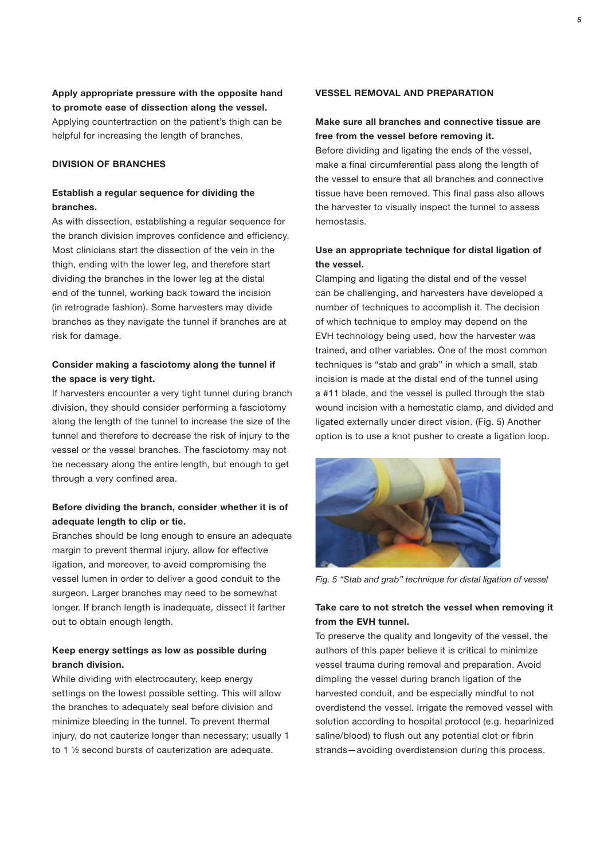Apply appropriate pressure with the opposite hand to promote ease of dissection along the vessel. Applying countertraction on the patient's thigh can be helpful for increasing the length of branches.

# DIVISION OF BRANCHES

## Establish a regular sequence for dividing the branches.

As with dissection, establishing a regular sequence for the branch division improves confidence and efficiency. Most clinicians start the dissection of the vein in the thigh, ending with the lower leg, and therefore start dividing the branches in the lower leg at the distal end of the tunnel, working back toward the incision (in retrograde fashion). Some harvesters may divide branches as they navigate the tunnel if branches are at risk for damage.

# Consider making a fasciotomy along the tunnel if the space is very tight.

If harvesters encounter a very tight tunnel during branch division, they should consider performing a fasciotomy along the length of the tunnel to increase the size of the tunnel and therefore to decrease the risk of injury to the vessel or the vessel branches. The fasciotomy may not be necessary along the entire length, but enough to get through a very confined area.

# Before dividing the branch, consider whether it is of adequate length to clip or tie.

Branches should be long enough to ensure an adequate margin to prevent thermal injury, allow for effective ligation, and moreover, to avoid compromising the vessel lumen in order to deliver a good conduit to the surgeon. Larger branches may need to be somewhat longer. If branch length is inadequate, dissect it farther out to obtain enough length.

## Keep energy settings as low as possible during branch division.

While dividing with electrocautery, keep energy settings on the lowest possible setting. This will allow the branches to adequately seal before division and minimize bleeding in the tunnel. To prevent thermal injury, do not cauterize longer than necessary; usually 1 to 1 ½ second bursts of cauterization are adequate.

#### VESSEL REMOVAL AND PREPARATION

## Make sure all branches and connective tissue are free from the vessel before removing it.

Before dividing and ligating the ends of the vessel, make a final circumferential pass along the length of the vessel to ensure that all branches and connective tissue have been removed. This final pass also allows the harvester to visually inspect the tunnel to assess hemostasis.

## Use an appropriate technique for distal ligation of the vessel.

Clamping and ligating the distal end of the vessel can be challenging, and harvesters have developed a number of techniques to accomplish it. The decision of which technique to employ may depend on the EVH technology being used, how the harvester was trained, and other variables. One of the most common techniques is "stab and grab" in which a small, stab incision is made at the distal end of the tunnel using a #11 blade, and the vessel is pulled through the stab wound incision with a hemostatic clamp, and divided and ligated externally under direct vision. (Fig. 5) Another option is to use a knot pusher to create a ligation loop.



*Fig. 5 "Stab and grab" technique for distal ligation of vessel*

## Take care to not stretch the vessel when removing it from the EVH tunnel.

To preserve the quality and longevity of the vessel, the authors of this paper believe it is critical to minimize vessel trauma during removal and preparation. Avoid dimpling the vessel during branch ligation of the harvested conduit, and be especially mindful to not overdistend the vessel. Irrigate the removed vessel with solution according to hospital protocol (e.g. heparinized saline/blood) to flush out any potential clot or fibrin strands—avoiding overdistension during this process.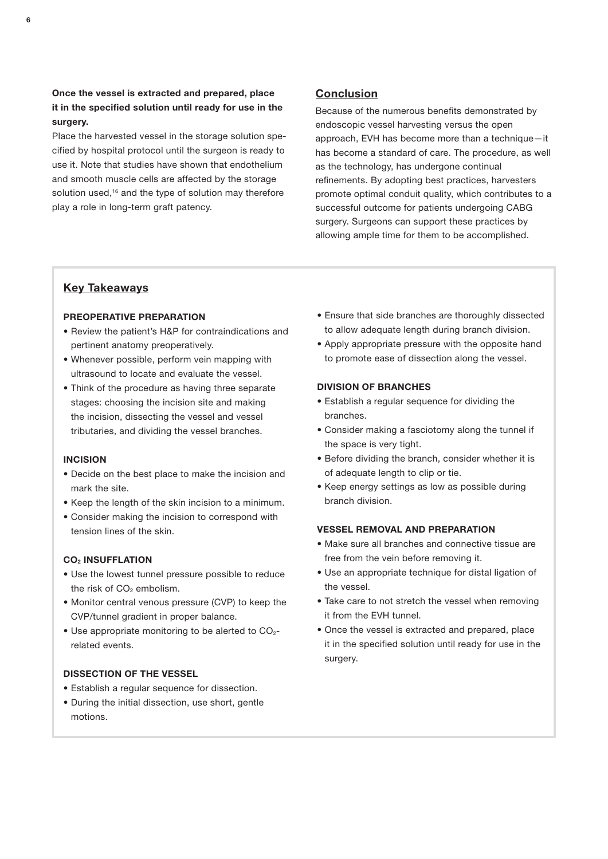# Once the vessel is extracted and prepared, place it in the specified solution until ready for use in the surgery.

Place the harvested vessel in the storage solution specified by hospital protocol until the surgeon is ready to use it. Note that studies have shown that endothelium and smooth muscle cells are affected by the storage solution used,<sup>16</sup> and the type of solution may therefore play a role in long-term graft patency.

# Conclusion

Because of the numerous benefits demonstrated by endoscopic vessel harvesting versus the open approach, EVH has become more than a technique—it has become a standard of care. The procedure, as well as the technology, has undergone continual refinements. By adopting best practices, harvesters promote optimal conduit quality, which contributes to a successful outcome for patients undergoing CABG surgery. Surgeons can support these practices by allowing ample time for them to be accomplished.

# Key Takeaways

## PREOPERATIVE PREPARATION

- Review the patient's H&P for contraindications and pertinent anatomy preoperatively.
- Whenever possible, perform vein mapping with ultrasound to locate and evaluate the vessel.
- Think of the procedure as having three separate stages: choosing the incision site and making the incision, dissecting the vessel and vessel tributaries, and dividing the vessel branches.

## INCISION

- Decide on the best place to make the incision and mark the site.
- Keep the length of the skin incision to a minimum.
- Consider making the incision to correspond with tension lines of the skin.

## **CO<sub>2</sub> INSUFFLATION**

- Use the lowest tunnel pressure possible to reduce the risk of  $CO<sub>2</sub>$  embolism.
- Monitor central venous pressure (CVP) to keep the CVP/tunnel gradient in proper balance.
- $\bullet$  Use appropriate monitoring to be alerted to CO<sub>2</sub>related events.

## DISSECTION OF THE VESSEL

- Establish a regular sequence for dissection.
- During the initial dissection, use short, gentle motions.
- Ensure that side branches are thoroughly dissected to allow adequate length during branch division.
- Apply appropriate pressure with the opposite hand to promote ease of dissection along the vessel.

## DIVISION OF BRANCHES

- Establish a regular sequence for dividing the branches.
- Consider making a fasciotomy along the tunnel if the space is very tight.
- Before dividing the branch, consider whether it is of adequate length to clip or tie.
- Keep energy settings as low as possible during branch division.

## VESSEL REMOVAL AND PREPARATION

- Make sure all branches and connective tissue are free from the vein before removing it.
- Use an appropriate technique for distal ligation of the vessel.
- Take care to not stretch the vessel when removing it from the EVH tunnel.
- Once the vessel is extracted and prepared, place it in the specified solution until ready for use in the surgery.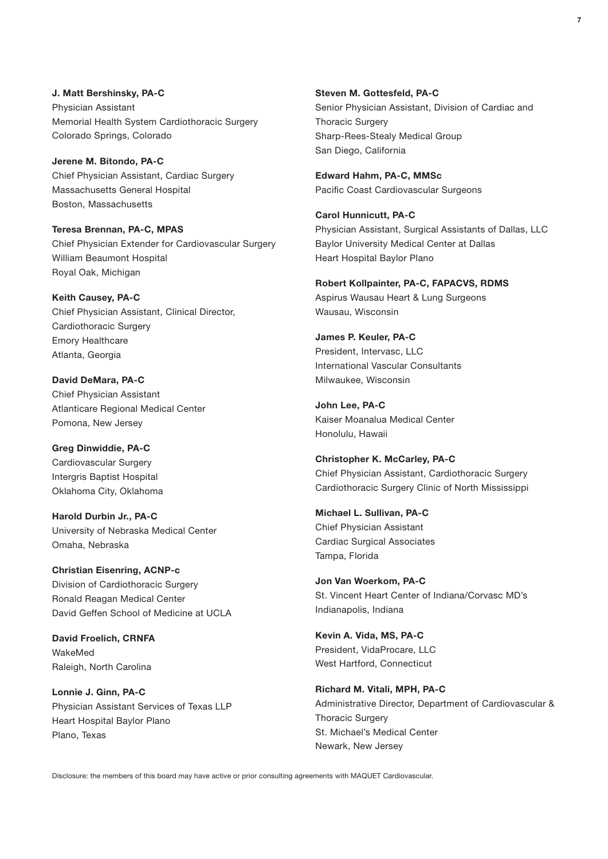J. Matt Bershinsky, PA-C Physician Assistant Memorial Health System Cardiothoracic Surgery Colorado Springs, Colorado

Jerene M. Bitondo, PA-C Chief Physician Assistant, Cardiac Surgery Massachusetts General Hospital Boston, Massachusetts

Teresa Brennan, PA-C, MPAS Chief Physician Extender for Cardiovascular Surgery William Beaumont Hospital Royal Oak, Michigan

Keith Causey, PA-C Chief Physician Assistant, Clinical Director, Cardiothoracic Surgery Emory Healthcare Atlanta, Georgia

David DeMara, PA-C Chief Physician Assistant Atlanticare Regional Medical Center Pomona, New Jersey

Greg Dinwiddie, PA-C Cardiovascular Surgery Intergris Baptist Hospital Oklahoma City, Oklahoma

Harold Durbin Jr., PA-C University of Nebraska Medical Center Omaha, Nebraska

Christian Eisenring, ACNP-c Division of Cardiothoracic Surgery Ronald Reagan Medical Center David Geffen School of Medicine at UCLA

David Froelich, CRNFA WakeMed Raleigh, North Carolina

Lonnie J. Ginn, PA-C Physician Assistant Services of Texas LLP Heart Hospital Baylor Plano Plano, Texas

Steven M. Gottesfeld, PA-C Senior Physician Assistant, Division of Cardiac and **Thoracic Surgery** Sharp-Rees-Stealy Medical Group San Diego, California

Edward Hahm, PA-C, MMSc Pacific Coast Cardiovascular Surgeons

Carol Hunnicutt, PA-C Physician Assistant, Surgical Assistants of Dallas, LLC Baylor University Medical Center at Dallas Heart Hospital Baylor Plano

Robert Kollpainter, PA-C, FAPACVS, RDMS Aspirus Wausau Heart & Lung Surgeons Wausau, Wisconsin

James P. Keuler, PA-C President, Intervasc, LLC International Vascular Consultants Milwaukee, Wisconsin

John Lee, PA-C Kaiser Moanalua Medical Center Honolulu, Hawaii

Christopher K. McCarley, PA-C Chief Physician Assistant, Cardiothoracic Surgery Cardiothoracic Surgery Clinic of North Mississippi

Michael L. Sullivan, PA-C Chief Physician Assistant Cardiac Surgical Associates Tampa, Florida

Jon Van Woerkom, PA-C St. Vincent Heart Center of Indiana/Corvasc MD's Indianapolis, Indiana

Kevin A. Vida, MS, PA-C President, VidaProcare, LLC West Hartford, Connecticut

Richard M. Vitali, MPH, PA-C Administrative Director, Department of Cardiovascular & Thoracic Surgery St. Michael's Medical Center Newark, New Jersey

Disclosure: the members of this board may have active or prior consulting agreements with MAQUET Cardiovascular.